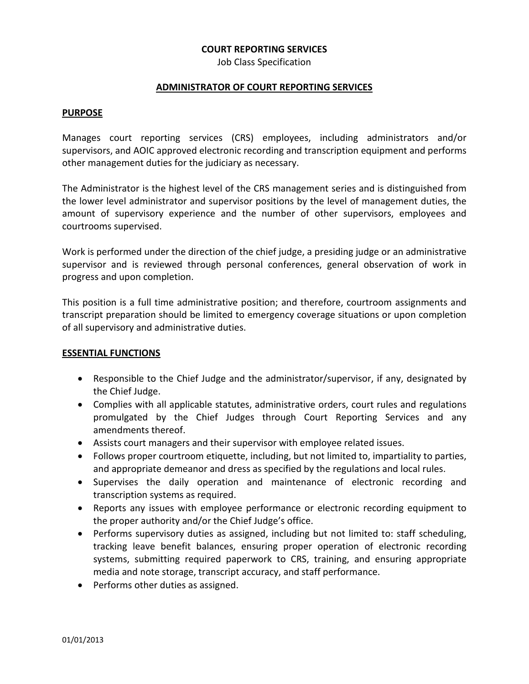### **COURT REPORTING SERVICES**

Job Class Specification

## **ADMINISTRATOR OF COURT REPORTING SERVICES**

#### **PURPOSE**

Manages court reporting services (CRS) employees, including administrators and/or supervisors, and AOIC approved electronic recording and transcription equipment and performs other management duties for the judiciary as necessary.

The Administrator is the highest level of the CRS management series and is distinguished from the lower level administrator and supervisor positions by the level of management duties, the amount of supervisory experience and the number of other supervisors, employees and courtrooms supervised.

Work is performed under the direction of the chief judge, a presiding judge or an administrative supervisor and is reviewed through personal conferences, general observation of work in progress and upon completion.

This position is a full time administrative position; and therefore, courtroom assignments and transcript preparation should be limited to emergency coverage situations or upon completion of all supervisory and administrative duties.

### **ESSENTIAL FUNCTIONS**

- Responsible to the Chief Judge and the administrator/supervisor, if any, designated by the Chief Judge.
- Complies with all applicable statutes, administrative orders, court rules and regulations promulgated by the Chief Judges through Court Reporting Services and any amendments thereof.
- Assists court managers and their supervisor with employee related issues.
- Follows proper courtroom etiquette, including, but not limited to, impartiality to parties, and appropriate demeanor and dress as specified by the regulations and local rules.
- Supervises the daily operation and maintenance of electronic recording and transcription systems as required.
- Reports any issues with employee performance or electronic recording equipment to the proper authority and/or the Chief Judge's office.
- Performs supervisory duties as assigned, including but not limited to: staff scheduling, tracking leave benefit balances, ensuring proper operation of electronic recording systems, submitting required paperwork to CRS, training, and ensuring appropriate media and note storage, transcript accuracy, and staff performance.
- Performs other duties as assigned.